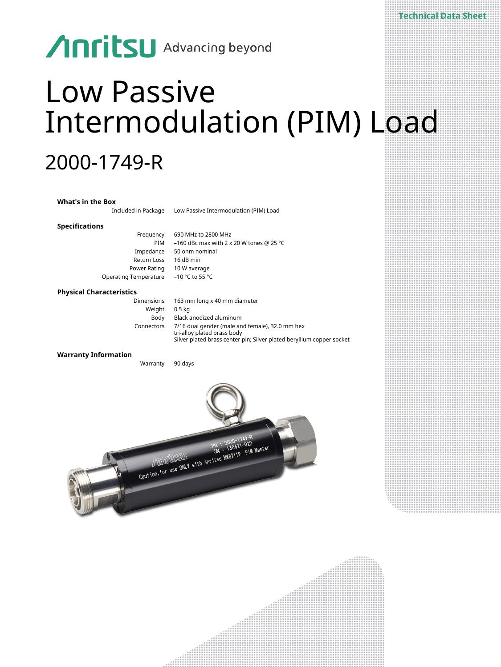## **Anritsu** Advancing beyond

# Low Passive Intermodulation (PIM) Load

**Technical Data Sheet**

### 2000-1749-R

| <b>What's in the Box</b>        |                                                                                |
|---------------------------------|--------------------------------------------------------------------------------|
| Included in Package             | Low Passive Intermodulation (PIM) Load                                         |
| <b>Specifications</b>           |                                                                                |
| Frequency                       | 690 MHz to 2800 MHz                                                            |
| PIM                             | -160 dBc max with 2 x 20 W tones @ 25 °C                                       |
| Impedance                       | 50 ohm nominal                                                                 |
| Return Loss                     | 16 dB min                                                                      |
| Power Rating                    | 10 W average                                                                   |
| Operating Temperature           | $-10$ °C to 55 °C                                                              |
| <b>Physical Characteristics</b> |                                                                                |
| <b>Dimensions</b>               | 163 mm long x 40 mm diameter                                                   |
| Weight                          | 0.5 <sub>kq</sub>                                                              |
| Body                            | Black anodized aluminum                                                        |
| Connectors                      | 7/16 dual gender (male and female), 32.0 mm hex<br>tri-alloy plated brass body |
|                                 | Silver plated brass center pin; Silver plated beryllium copper socket          |
| <b>Warranty Information</b>     |                                                                                |
| Warranty                        | 90 days                                                                        |